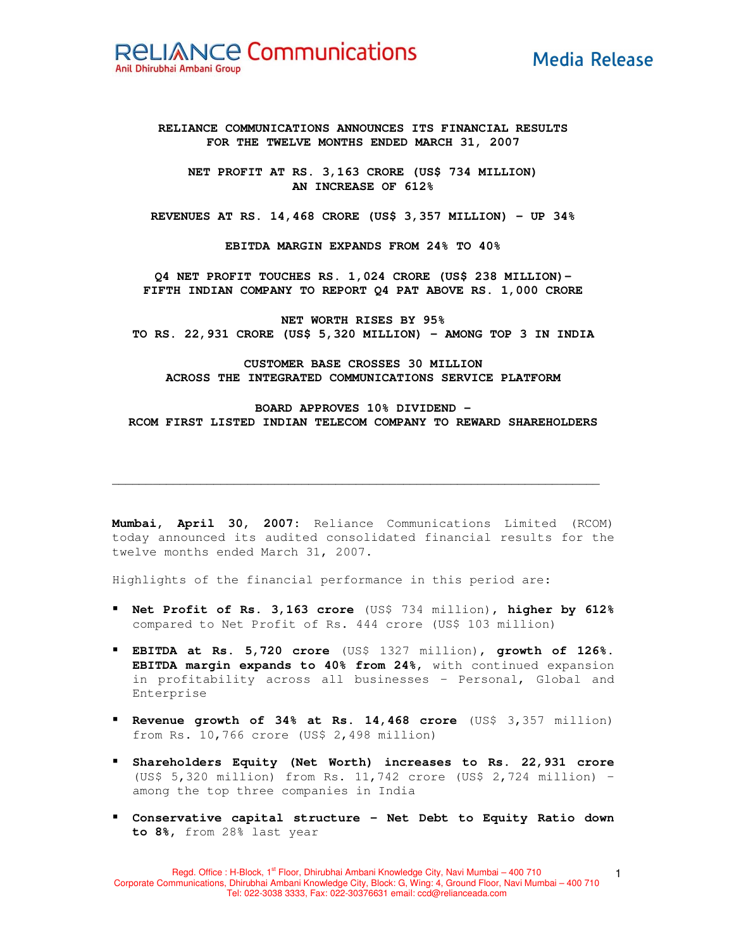**Media Release** 

**RELIANCE COMMUNICATIONS ANNOUNCES ITS FINANCIAL RESULTS FOR THE TWELVE MONTHS ENDED MARCH 31, 2007**

**NET PROFIT AT RS. 3,163 CRORE (US\$ 734 MILLION) AN INCREASE OF 612%**

**REVENUES AT RS. 14,468 CRORE (US\$ 3,357 MILLION) - UP 34%**

**EBITDA MARGIN EXPANDS FROM 24% TO 40%**

**Q4 NET PROFIT TOUCHES RS. 1,024 CRORE (US\$ 238 MILLION)- FIFTH INDIAN COMPANY TO REPORT Q4 PAT ABOVE RS. 1,000 CRORE**

**NET WORTH RISES BY 95% TO RS. 22,931 CRORE (US\$ 5,320 MILLION) – AMONG TOP 3 IN INDIA**

**CUSTOMER BASE CROSSES 30 MILLION ACROSS THE INTEGRATED COMMUNICATIONS SERVICE PLATFORM**

**BOARD APPROVES 10% DIVIDEND - RCOM FIRST LISTED INDIAN TELECOM COMPANY TO REWARD SHAREHOLDERS**

**Mumbai, April 30, 2007:** Reliance Communications Limited (RCOM) today announced its audited consolidated financial results for the twelve months ended March 31, 2007.

**\_\_\_\_\_\_\_\_\_\_\_\_\_\_\_\_\_\_\_\_\_\_\_\_\_\_\_\_\_\_\_\_\_\_\_\_\_\_\_\_\_\_\_\_\_\_\_\_\_\_\_\_\_\_\_\_\_\_\_\_\_\_\_\_\_\_\_\_\_\_\_\_**

Highlights of the financial performance in this period are:

- **Net Profit of Rs. 3,163 crore** (US\$ 734 million), **higher by 612%** compared to Net Profit of Rs. 444 crore (US\$ 103 million)
- **EBITDA at Rs. 5,720 crore** (US\$ 1327 million), **growth of 126%**. **EBITDA margin expands to 40% from 24%**, with continued expansion in profitability across all businesses – Personal, Global and Enterprise
- **Revenue growth of 34% at Rs. 14,468 crore** (US\$ 3,357 million) from Rs. 10,766 crore (US\$ 2,498 million)
- **Shareholders Equity (Net Worth) increases to Rs. 22,931 crore** (US\$ 5,320 million) from Rs. 11,742 crore (US\$ 2,724 million) – among the top three companies in India
- **Conservative capital structure - Net Debt to Equity Ratio down to 8%,** from 28% last year

1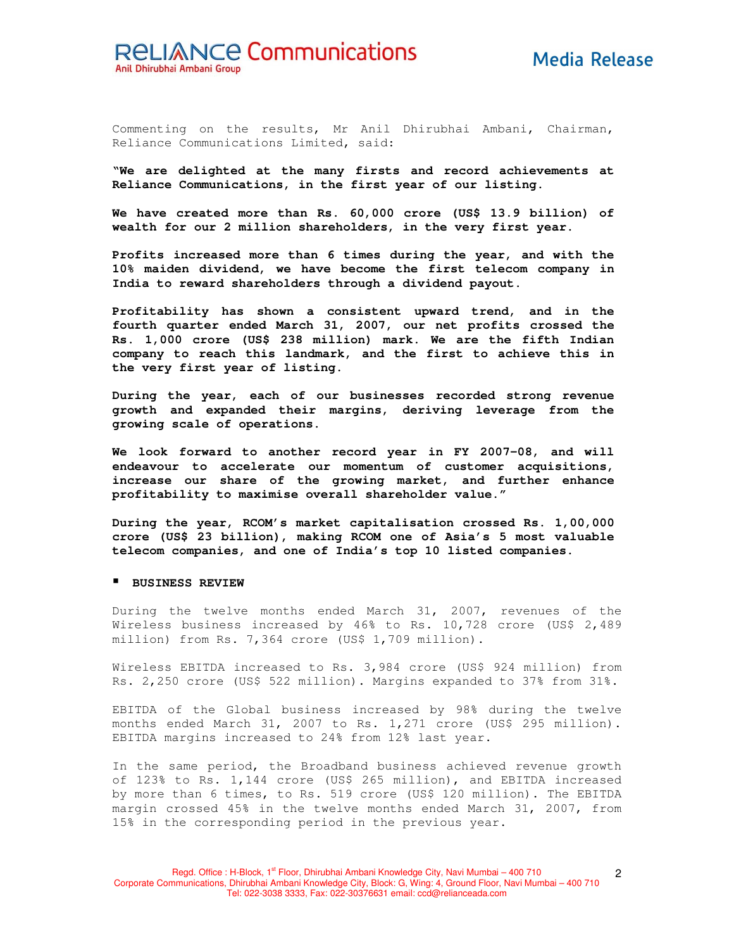Commenting on the results, Mr Anil Dhirubhai Ambani, Chairman, Reliance Communications Limited, said:

**"We are delighted at the many firsts and record achievements at Reliance Communications, in the first year of our listing.**

**We have created more than Rs. 60,000 crore (US\$ 13.9 billion) of wealth for our 2 million shareholders, in the very first year.**

**Profits increased more than 6 times during the year, and with the 10% maiden dividend, we have become the first telecom company in India to reward shareholders through a dividend payout.**

**Profitability has shown a consistent upward trend, and in the fourth quarter ended March 31, 2007, our net profits crossed the Rs. 1,000 crore (US\$ 238 million) mark. We are the fifth Indian company to reach this landmark, and the first to achieve this in the very first year of listing.**

**During the year, each of our businesses recorded strong revenue growth and expanded their margins, deriving leverage from the growing scale of operations.**

**We look forward to another record year in FY 2007-08, and will endeavour to accelerate our momentum of customer acquisitions, increase our share of the growing market, and further enhance profitability to maximise overall shareholder value."**

**During the year, RCOM's market capitalisation crossed Rs. 1,00,000 crore (US\$ 23 billion), making RCOM one of Asia's 5 most valuable telecom companies, and one of India's top 10 listed companies.**

#### **BUSINESS REVIEW**

During the twelve months ended March 31, 2007, revenues of the Wireless business increased by 46% to Rs. 10,728 crore (US\$ 2,489 million) from Rs. 7,364 crore (US\$ 1,709 million).

Wireless EBITDA increased to Rs. 3,984 crore (US\$ 924 million) from Rs. 2,250 crore (US\$ 522 million). Margins expanded to 37% from 31%.

EBITDA of the Global business increased by 98% during the twelve months ended March 31, 2007 to Rs. 1,271 crore (US\$ 295 million). EBITDA margins increased to 24% from 12% last year.

In the same period, the Broadband business achieved revenue growth of 123% to Rs. 1,144 crore (US\$ 265 million), and EBITDA increased by more than 6 times, to Rs. 519 crore (US\$ 120 million). The EBITDA margin crossed 45% in the twelve months ended March 31, 2007, from 15% in the corresponding period in the previous year.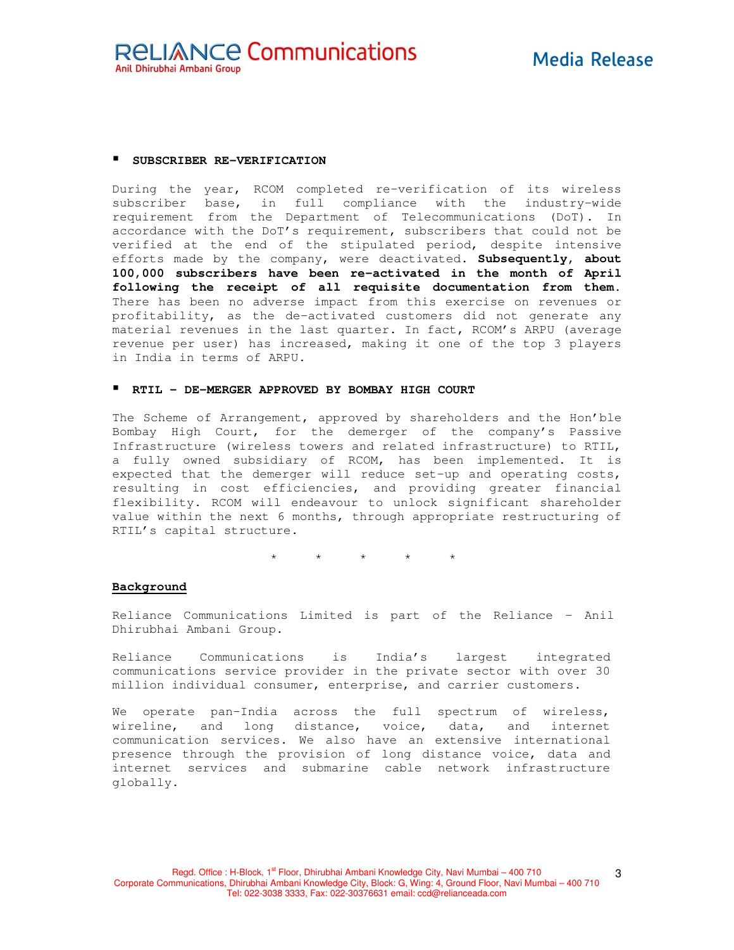#### **SUBSCRIBER RE-VERIFICATION**

During the year, RCOM completed re-verification of its wireless subscriber base, in full compliance with the industry-wide requirement from the Department of Telecommunications (DoT). In accordance with the DoT's requirement, subscribers that could not be verified at the end of the stipulated period, despite intensive efforts made by the company, were deactivated. **Subsequently, about 100,000 subscribers have been re-activated in the month of April following the receipt of all requisite documentation from them.** There has been no adverse impact from this exercise on revenues or profitability, as the de-activated customers did not generate any material revenues in the last quarter. In fact, RCOM's ARPU (average revenue per user) has increased, making it one of the top 3 players in India in terms of ARPU.

### **RTIL - DE-MERGER APPROVED BY BOMBAY HIGH COURT**

The Scheme of Arrangement, approved by shareholders and the Hon'ble Bombay High Court, for the demerger of the company's Passive Infrastructure (wireless towers and related infrastructure) to RTIL, a fully owned subsidiary of RCOM, has been implemented. It is expected that the demerger will reduce set-up and operating costs, resulting in cost efficiencies, and providing greater financial flexibility. RCOM will endeavour to unlock significant shareholder value within the next 6 months, through appropriate restructuring of RTIL's capital structure.

 $\star$   $\star$   $\star$ 

### **Background**

Reliance Communications Limited is part of the Reliance – Anil Dhirubhai Ambani Group.

Reliance Communications is India's largest integrated communications service provider in the private sector with over 30 million individual consumer, enterprise, and carrier customers.

We operate pan-India across the full spectrum of wireless, wireline, and long distance, voice, data, and internet communication services. We also have an extensive international presence through the provision of long distance voice, data and internet services and submarine cable network infrastructure globally.